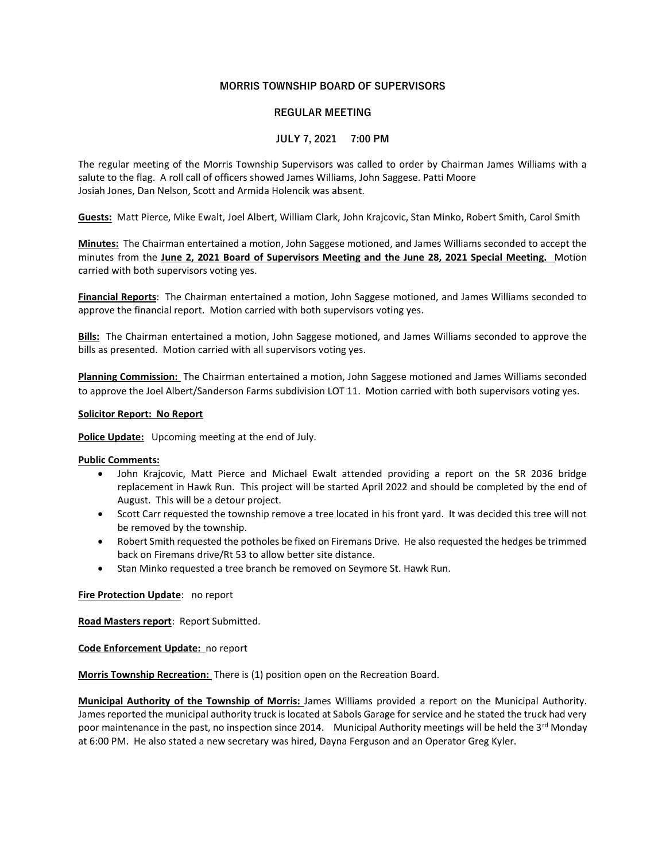# MORRIS TOWNSHIP BOARD OF SUPERVISORS

# REGULAR MEETING

# JULY 7, 2021 7:00 PM

The regular meeting of the Morris Township Supervisors was called to order by Chairman James Williams with a salute to the flag. A roll call of officers showed James Williams, John Saggese. Patti Moore Josiah Jones, Dan Nelson, Scott and Armida Holencik was absent.

Guests: Matt Pierce, Mike Ewalt, Joel Albert, William Clark, John Krajcovic, Stan Minko, Robert Smith, Carol Smith

Minutes: The Chairman entertained a motion, John Saggese motioned, and James Williams seconded to accept the minutes from the June 2, 2021 Board of Supervisors Meeting and the June 28, 2021 Special Meeting. Motion carried with both supervisors voting yes.

Financial Reports: The Chairman entertained a motion, John Saggese motioned, and James Williams seconded to approve the financial report. Motion carried with both supervisors voting yes.

Bills: The Chairman entertained a motion, John Saggese motioned, and James Williams seconded to approve the bills as presented. Motion carried with all supervisors voting yes.

Planning Commission: The Chairman entertained a motion, John Saggese motioned and James Williams seconded to approve the Joel Albert/Sanderson Farms subdivision LOT 11. Motion carried with both supervisors voting yes.

### Solicitor Report: No Report

Police Update: Upcoming meeting at the end of July.

### Public Comments:

- John Krajcovic, Matt Pierce and Michael Ewalt attended providing a report on the SR 2036 bridge replacement in Hawk Run. This project will be started April 2022 and should be completed by the end of August. This will be a detour project.
- Scott Carr requested the township remove a tree located in his front yard. It was decided this tree will not be removed by the township.
- Robert Smith requested the potholes be fixed on Firemans Drive. He also requested the hedges be trimmed back on Firemans drive/Rt 53 to allow better site distance.
- Stan Minko requested a tree branch be removed on Seymore St. Hawk Run.

Fire Protection Update: no report

Road Masters report: Report Submitted.

Code Enforcement Update: no report

Morris Township Recreation: There is (1) position open on the Recreation Board.

Municipal Authority of the Township of Morris: James Williams provided a report on the Municipal Authority. James reported the municipal authority truck is located at Sabols Garage for service and he stated the truck had very poor maintenance in the past, no inspection since 2014. Municipal Authority meetings will be held the  $3^{\text{rd}}$  Monday at 6:00 PM. He also stated a new secretary was hired, Dayna Ferguson and an Operator Greg Kyler.